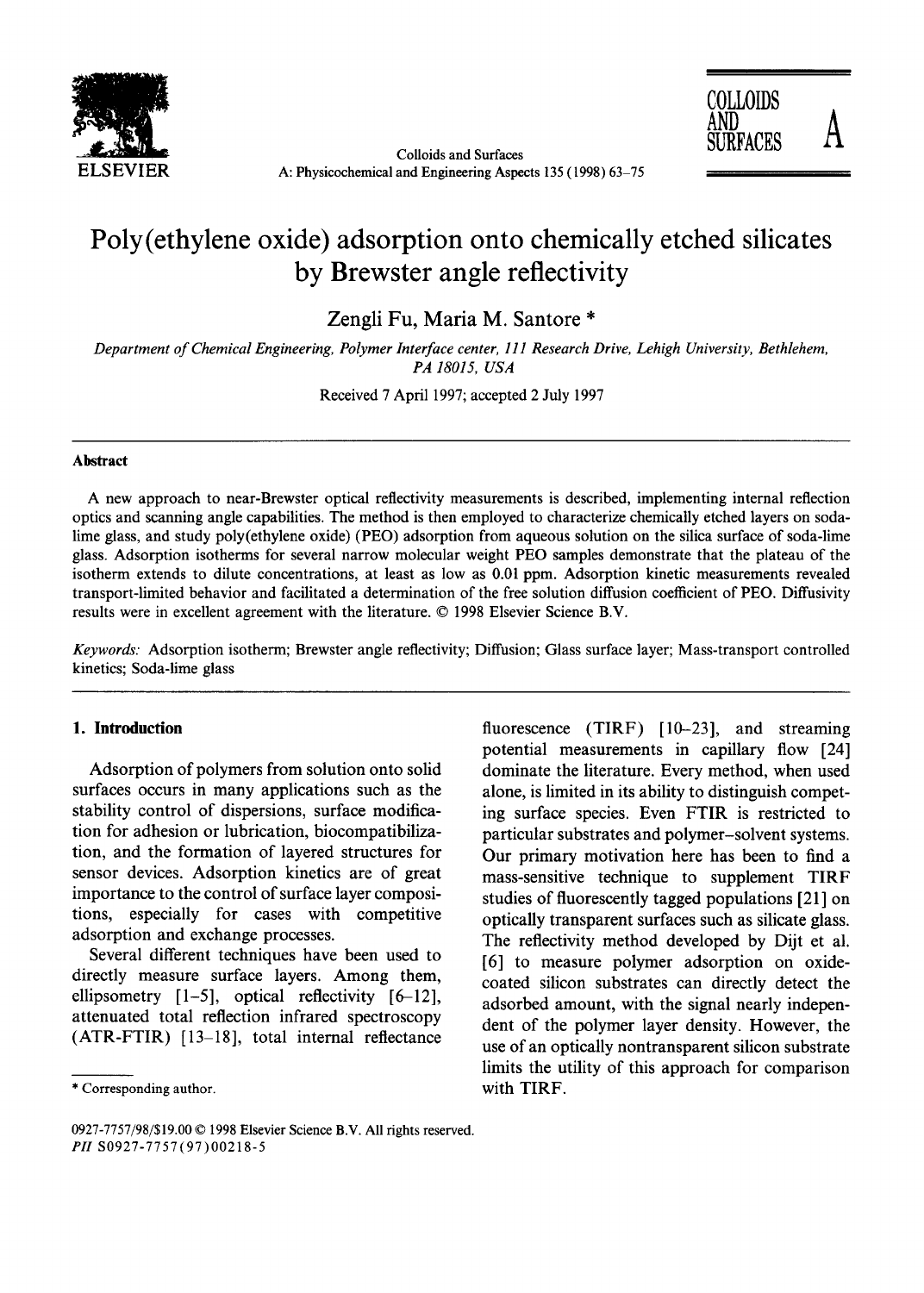



# **Poly(ethylene oxide) adsorption onto chemically etched silicates by Brewster angle reflectivity**

**Zengli Fu, Maria M. Santore \*** 

*Department of Chemical Engineering, Polymer Interface center, 111 Research Drive, Lehigh University, Bethlehem, PA 18015, USA* 

Received 7 April 1997; accepted 2 July 1997

### **Abstract**

A new approach to near-Brewster optical reflectivity measurements is described, implementing internal reflection optics and scanning angle capabilities. The method is then employed to characterize chemically etched layers on sodalime glass, and study poly(ethylene oxide) (PEO) adsorption from aqueous solution on the silica surface of soda-lime glass. Adsorption isotherms for several narrow molecular weight PEO samples demonstrate that the plateau of the isotherm extends to dilute concentrations, at least as low as 0.01 ppm. Adsorption kinetic measurements revealed transport-limited behavior and facilitated a determination of the free solution diffusion coefficient of PEO. Diffusivity results were in excellent agreement with the literature. © 1998 Elsevier Science B.V.

*Keywords:* Adsorption isotherm; Brewster angle reflectivity; Diffusion; Glass surface layer; Mass-transport controlled kinetics; Soda-lime glass

## **I. Introduction**

Adsorption of polymers from solution onto solid surfaces occurs in many applications such as the stability control of dispersions, surface modification for adhesion or lubrication, biocompatibilization, and the formation of layered structures for sensor devices. Adsorption kinetics are of great importance to the control of surface layer compositions, especially for cases with competitive adsorption and exchange processes.

Several different techniques have been used to directly measure surface layers. Among them, ellipsometry  $[1-5]$ , optical reflectivity  $[6-12]$ , attenuated total reflection infrared spectroscopy (ATR-FTIR) [13-18], total internal reflectance

fluorescence (TIRF) [10-23], and streaming potential measurements in capillary flow [24] dominate the literature. Every method, when used alone, is limited in its ability to distinguish competing surface species. Even FTIR is restricted to particular substrates and polymer-solvent systems. Our primary motivation here has been to find a mass-sensitive technique to supplement TIRF studies of fluorescently tagged populations [21] on optically transparent surfaces such as silicate glass. The reflectivity method developed by Dijt et al. [6] to measure polymer adsorption on oxidecoated silicon substrates can directly detect the adsorbed amount, with the signal nearly independent of the polymer layer density. However, the use of an optically nontransparent silicon substrate limits the utility of this approach for comparison with TIRF.

<sup>\*</sup> Corresponding author.

<sup>0927-7757/98/\$19.00 © 1998</sup> Elsevier Science B.V. All rights reserved. *PH* S0927-7757(97)00218-5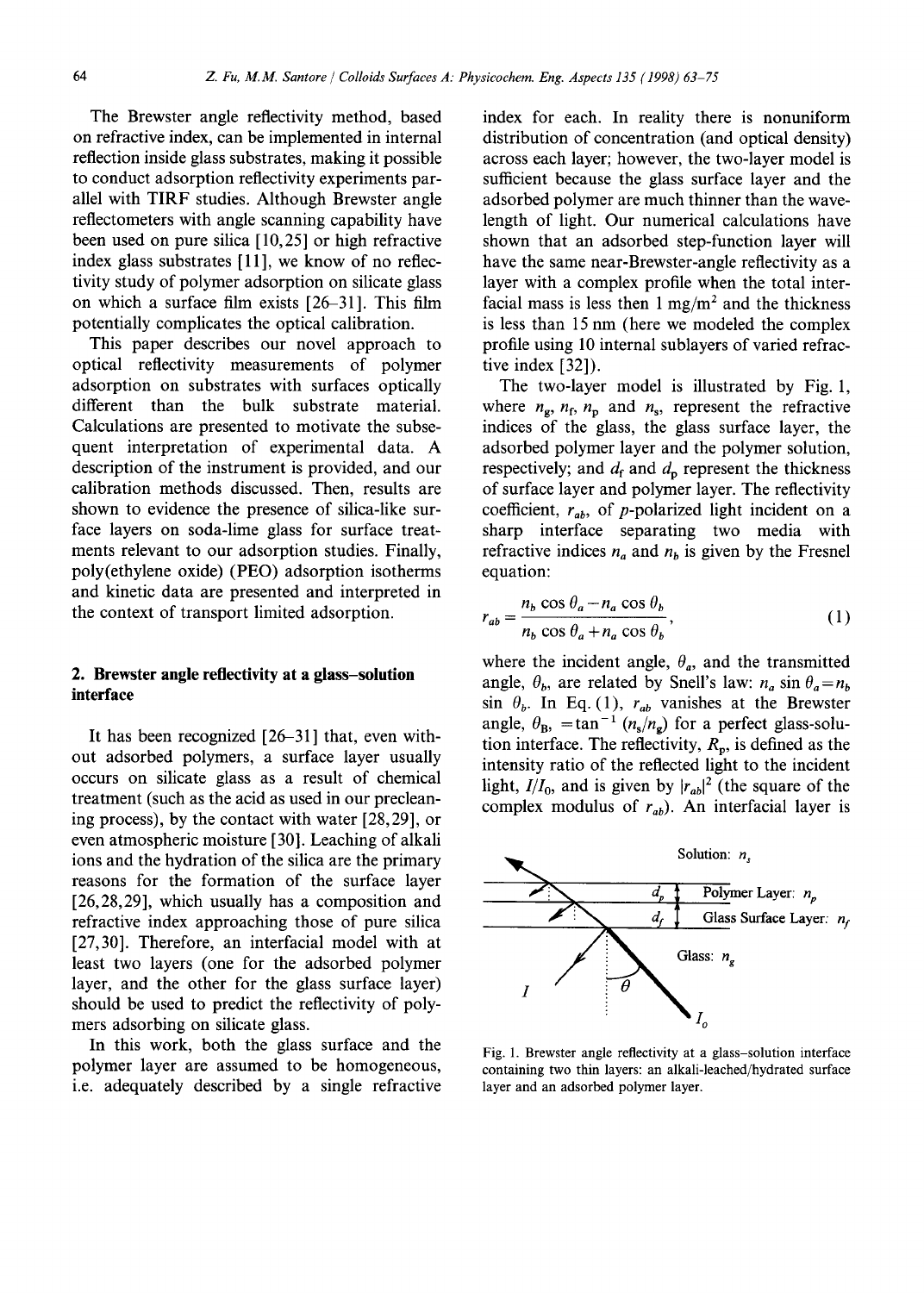The Brewster angle reflectivity method, based on refractive index, can be implemented in internal reflection inside glass substrates, making it possible to conduct adsorption reflectivity experiments parallel with TIRF studies. Although Brewster angle reflectometers with angle scanning capability have been used on pure silica [10,25] or high refractive index glass substrates [11], we know of no reflectivity study of polymer adsorption on silicate glass on which a surface film exists [26-31]. This film potentially complicates the optical calibration.

This paper describes our novel approach to optical reflectivity measurements of polymer adsorption on substrates with surfaces optically different than the bulk substrate material. Calculations are presented to motivate the subsequent interpretation of experimental data. A description of the instrument is provided, and our calibration methods discussed. Then, results are shown to evidence the presence of silica-like surface layers on soda-lime glass for surface treatments relevant to our adsorption studies. Finally, poly(ethylene oxide) (PEO) adsorption isotherms and kinetic data are presented and interpreted in the context of transport limited adsorption.

# 2. **Brewster angle reflectivity at a glass-solution interface**

It has been recognized [26-31] that, even without adsorbed polymers, a surface layer usually occurs on silicate glass as a result of chemical treatment (such as the acid as used in our precleaning process), by the contact with water [28,29], or even atmospheric moisture [30]. Leaching of alkali ions and the hydration of the silica are the primary reasons for the formation of the surface layer [26,28,29], which usually has a composition and refractive index approaching those of pure silica [27,30]. Therefore, an interfacial model with at least two layers (one for the adsorbed polymer layer, and the other for the glass surface layer) should be used to predict the reflectivity of polymers adsorbing on silicate glass.

In this work, both the glass surface and the polymer layer are assumed to be homogeneous, i.e. adequately described by a single refractive index for each. In reality there is nonuniform distribution of concentration (and optical density) across each layer; however, the two-layer model is sufficient because the glass surface layer and the adsorbed polymer are much thinner than the wavelength of light. Our numerical calculations have shown that an adsorbed step-function layer will have the same near-Brewster-angle reflectivity as a layer with a complex profile when the total interfacial mass is less then  $1 \text{ mg/m}^2$  and the thickness is less than 15 nm (here we modeled the complex profile using 10 internal sublayers of varied refractive index [32]).

The two-layer model is illustrated by Fig. 1, where  $n_{\rm g}$ ,  $n_{\rm f}$ ,  $n_{\rm p}$  and  $n_{\rm s}$ , represent the refractive indices of the glass, the glass surface layer, the adsorbed polymer layer and the polymer solution, respectively; and  $d_f$  and  $d_p$  represent the thickness of surface layer and polymer layer. The reflectivity coefficient,  $r_{ab}$ , of p-polarized light incident on a sharp interface separating two media with refractive indices  $n_a$  and  $n_b$  is given by the Fresnel equation:

$$
r_{ab} = \frac{n_b \cos \theta_a - n_a \cos \theta_b}{n_b \cos \theta_a + n_a \cos \theta_b},
$$
 (1)

where the incident angle,  $\theta_a$ , and the transmitted angle,  $\theta_b$ , are related by Snell's law:  $n_a \sin \theta_a = n_b$  $\sin \theta_b$ . In Eq. (1),  $r_{ab}$  vanishes at the Brewster angle,  $\theta_{\rm B}$ ,  $=\tan^{-1} (n_{\rm s}/n_{\rm g})$  for a perfect glass-solution interface. The reflectivity,  $R_p$ , is defined as the intensity ratio of the reflected light to the incident light,  $I/I_0$ , and is given by  $|r_{ab}|^2$  (the square of the complex modulus of  $r_{ab}$ ). An interfacial layer is



Fig. 1. Brewster angle reflectivity at a glass-solution interface containing two thin layers: an alkali-leached/hydrated surface layer and an adsorbed polymer layer.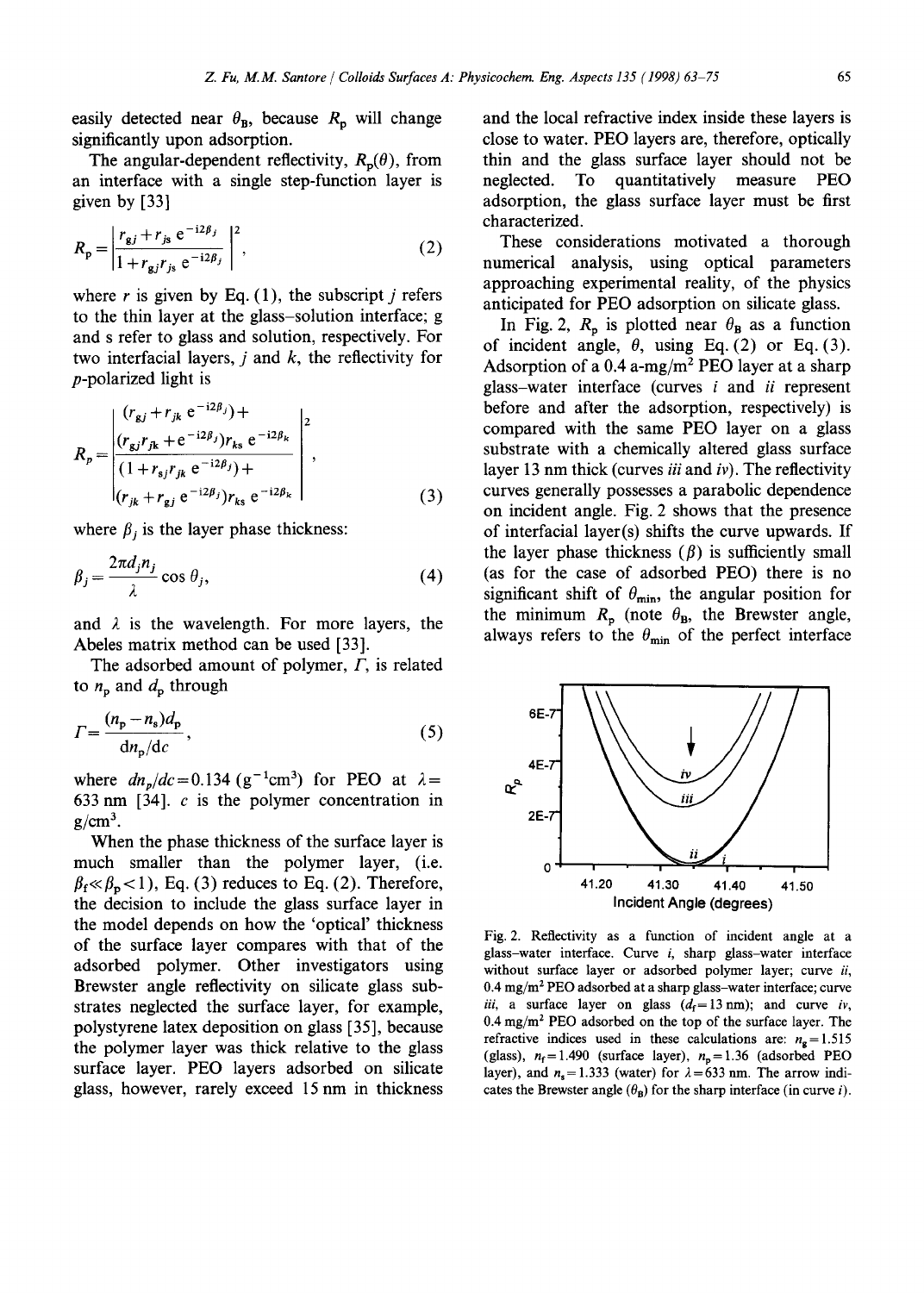easily detected near  $\theta_{\rm B}$ , because  $R_{\rm p}$  will change significantly upon adsorption.

The angular-dependent reflectivity,  $R_p(\theta)$ , from an interface with a single step-function layer is given by [33]

$$
R_{\rm p} = \left| \frac{r_{\rm g} j + r_{\rm js} \, e^{-i 2\beta_j}}{1 + r_{\rm g} j r_{\rm js} \, e^{-i 2\beta_j}} \right|^2, \tag{2}
$$

where r is given by Eq.  $(1)$ , the subscript j refers to the thin layer at the glass-solution interface; g and s refer to glass and solution, respectively. For two interfacial layers,  $j$  and  $k$ , the reflectivity for p-polarized light is

$$
R_{p} = \begin{vmatrix} (r_{gj} + r_{jk} e^{-i2\beta_{j}}) + \\ (r_{gj}r_{jk} + e^{-i2\beta_{j}})r_{ks} e^{-i2\beta_{k}} \\ (1 + r_{sj}r_{jk} e^{-i2\beta_{j}}) + \\ (r_{jk} + r_{gj} e^{-i2\beta_{j}})r_{ks} e^{-i2\beta_{k}} \end{vmatrix},
$$
\n(3)

where  $\beta_i$  is the layer phase thickness:

$$
\beta_j = \frac{2\pi d_j n_j}{\lambda} \cos \theta_j,\tag{4}
$$

and  $\lambda$  is the wavelength. For more layers, the Abeles matrix method can be used [33].

The adsorbed amount of polymer,  $\Gamma$ , is related to  $n_p$  and  $d_p$  through

$$
\Gamma = \frac{(n_{\rm p} - n_{\rm s})d_{\rm p}}{\mathrm{d}n_{\rm p}/\mathrm{d}c},\tag{5}
$$

where  $dn_p/dc = 0.134 \text{ (g}^{-1} \text{cm}^3)$  for PEO at  $\lambda =$ 633 nm  $[34]$ . c is the polymer concentration in  $g/cm^3$ .

When the phase thickness of the surface layer is much smaller than the polymer layer, (i.e.  $\beta_f \ll \beta_p$  < 1), Eq. (3) reduces to Eq. (2). Therefore, the decision to include the glass surface layer in the model depends on how the 'optical' thickness of the surface layer compares with that of the adsorbed polymer. Other investigators using Brewster angle reflectivity on silicate glass substrates neglected the surface layer, for example, polystyrene latex deposition on glass [35], because the polymer layer was thick relative to the glass surface layer. PEO layers adsorbed on silicate glass, however, rarely exceed 15 nm in thickness

and the local refractive index inside these layers is close to water. PEO layers are, therefore, optically thin and the glass surface layer should not be neglected. To quantitatively measure PEO adsorption, the glass surface layer must be first characterized.

These considerations motivated a thorough numerical analysis, using optical parameters approaching experimental reality, of the physics anticipated for PEO adsorption on silicate glass.

In Fig. 2,  $R_p$  is plotted near  $\theta_B$  as a function of incident angle,  $\theta$ , using Eq. (2) or Eq. (3). Adsorption of a 0.4 a-mg/m<sup>2</sup> PEO layer at a sharp glass-water interface (curves i and *ii* represent before and after the adsorption, respectively) is compared with the same PEO layer on a glass substrate with a chemically altered glass surface layer 13 nm thick (curves *iii* and *iv).* The reflectivity curves generally possesses a parabolic dependence on incident angle. Fig. 2 shows that the presence of interfacial layer(s) shifts the curve upwards. If the layer phase thickness  $(\beta)$  is sufficiently small (as for the case of adsorbed PEO) there is no significant shift of  $\theta_{\min}$ , the angular position for the minimum  $R_p$  (note  $\theta_p$ , the Brewster angle, always refers to the  $\theta_{\min}$  of the perfect interface



Fig. 2. Reflectivity as a function of incident angle at a glass-water interface. Curve  $i$ , sharp glass-water interface without surface layer or adsorbed polymer layer; curve *ii,*   $0.4 \text{ mg/m}^2$  PEO adsorbed at a sharp glass-water interface; curve *iii,* a surface layer on glass  $(d_f=13 \text{ nm})$ ; and curve *iv*,  $0.4 \text{ mg/m}^2$  PEO adsorbed on the top of the surface layer. The refractive indices used in these calculations are:  $n<sub>g</sub> = 1.515$ (glass),  $n_f = 1.490$  (surface layer),  $n_p = 1.36$  (adsorbed PEO layer), and  $n_s = 1.333$  (water) for  $\lambda = 633$  nm. The arrow indicates the Brewster angle  $(\theta_B)$  for the sharp interface (in curve *i*).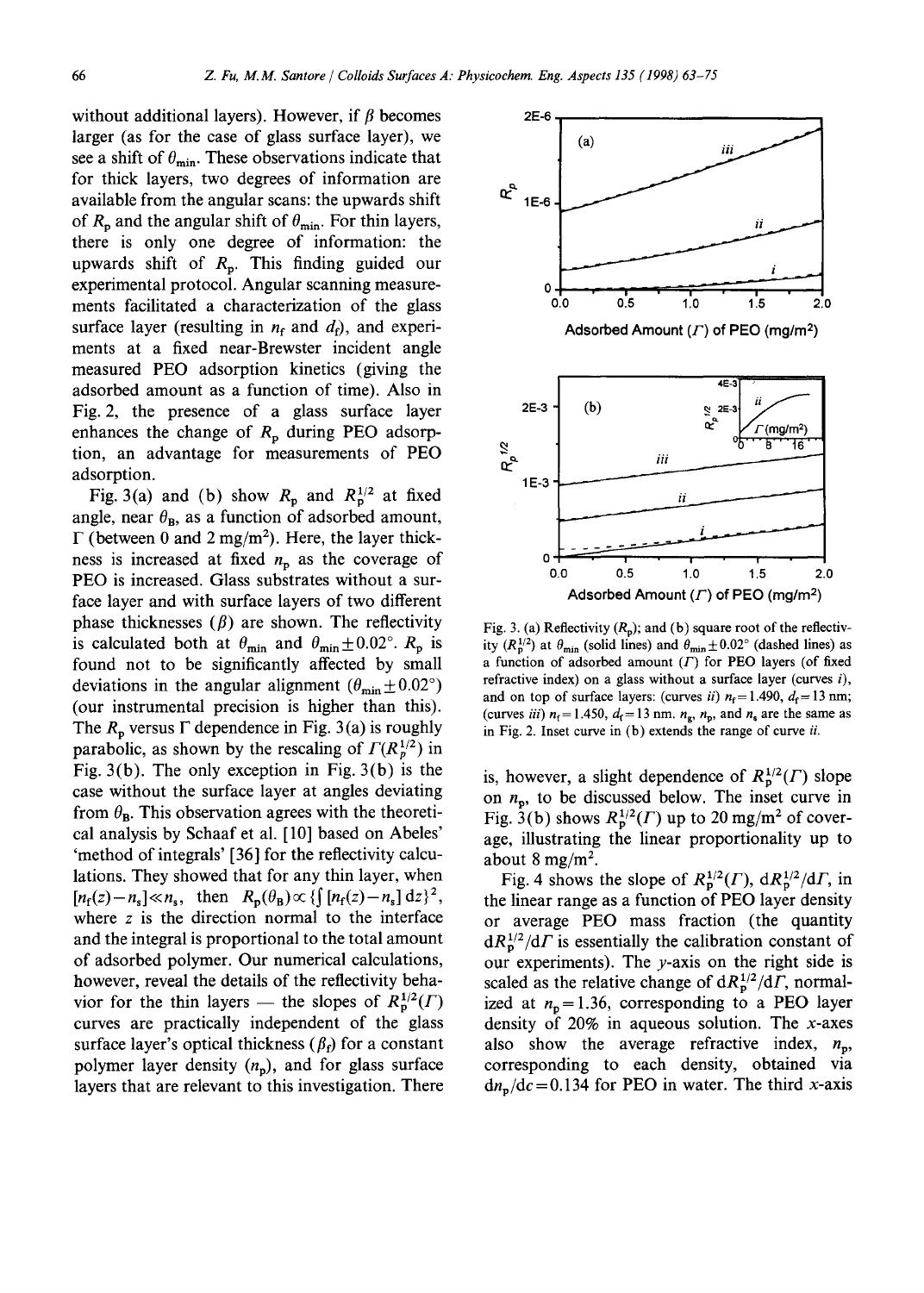without additional layers). However, if  $\beta$  becomes larger (as for the case of glass surface layer), we see a shift of  $\theta_{\min}$ . These observations indicate that for thick layers, two degrees of information are available from the angular scans: the upwards shift of  $R_p$  and the angular shift of  $\theta_{\min}$ . For thin layers, there is only one degree of information: the upwards shift of  $R_p$ . This finding guided our experimental protocol. Angular scanning measurements facilitated a characterization of the glass surface layer (resulting in  $n_f$  and  $d_f$ ), and experiments at a fixed near-Brewster incident angle measured PEO adsorption kinetics (giving the adsorbed amount as a function of time). Also in Fig. 2, the presence of a glass surface layer enhances the change of  $R_p$  during PEO adsorption, an advantage for measurements of PEO adsorption.

Fig. 3(a) and (b) show  $R_p$  and  $R_p^{1/2}$  at fixed angle, near  $\theta_{\text{B}}$ , as a function of adsorbed amount,  $\Gamma$  (between 0 and 2 mg/m<sup>2</sup>). Here, the layer thickness is increased at fixed  $n<sub>p</sub>$  as the coverage of PEO is increased. Glass substrates without a surface layer and with surface layers of two different phase thicknesses  $(\beta)$  are shown. The reflectivity is calculated both at  $\theta_{\min}$  and  $\theta_{\min} \pm 0.02^{\circ}$ .  $R_p$  is found not to be significantly affected by small deviations in the angular alignment  $(\theta_{\min} \pm 0.02^{\circ})$ (our instrumental precision is higher than this). The  $R_p$  versus  $\Gamma$  dependence in Fig. 3(a) is roughly parabolic, as shown by the rescaling of  $\Gamma(R_p^{1/2})$  in Fig.  $3(b)$ . The only exception in Fig.  $3(b)$  is the case without the surface layer at angles deviating from  $\theta_{\text{B}}$ . This observation agrees with the theoretical analysis by Schaaf et al. [10] based on Abeles' 'method of integrals' [36] for the reflectivity calculations. They showed that for any thin layer, when  $[n_f(z)-n_s] \ll n_s$ , then  $R_p(\theta_B) \propto {\int [n_f(z)-n_s] dz}^2$ , where z is the direction normal to the interface and the integral is proportional to the total amount of adsorbed polymer. Our numerical calculations, however, reveal the details of the reflectivity behavior for the thin layers — the slopes of  $R_p^{1/2}(\Gamma)$ curves are practically independent of the glass surface layer's optical thickness  $(\beta_f)$  for a constant polymer layer density  $(n_p)$ , and for glass surface layers that are relevant to this investigation. There



Fig. 3. (a) Reflectivity  $(R_p)$ ; and (b) square root of the reflectivity ( $R_p^{1/2}$ ) at  $\theta_{\text{min}}$  (solid lines) and  $\theta_{\text{min}} \pm 0.02$ ° (dashed lines) as a function of adsorbed amount  $(\Gamma)$  for PEO layers (of fixed refractive index) on a glass without a surface layer (curves  $i$ ), and on top of surface layers: (curves *ii*)  $n_f = 1.490$ ,  $d_f = 13$  nm; (curves *iii*)  $n_f$  = 1.450,  $d_f$  = 13 nm.  $n_g$ ,  $n_p$ , and  $n_s$  are the same as in Fig. 2. Inset curve in (b) extends the range of curve *ii.* 

is, however, a slight dependence of  $R_{\rm p}^{1/2}(\Gamma)$  slope on  $n_p$ , to be discussed below. The inset curve in Fig.  $3(b)$  shows  $R_p^{1/2}(\Gamma)$  up to 20 mg/m<sup>2</sup> of coverage, illustrating the linear proportionality up to about 8 mg/m<sup>2</sup>.

Fig. 4 shows the slope of  $R_{\rm p}^{1/2}(\Gamma)$ ,  $dR_{\rm p}^{1/2}/d\Gamma$ , in the linear range as a function of PEO layer density or average PEO mass fraction (the quantity  $dR_n^{1/2}/d\Gamma$  is essentially the calibration constant of our experiments). The  $y$ -axis on the right side is scaled as the relative change of  $dR_p^{1/2}/dT$ , normalized at  $n_p = 1.36$ , corresponding to a PEO layer density of  $20\%$  in aqueous solution. The x-axes also show the average refractive index,  $n_p$ , corresponding to each density, obtained via  $dn_p/dc = 0.134$  for PEO in water. The third x-axis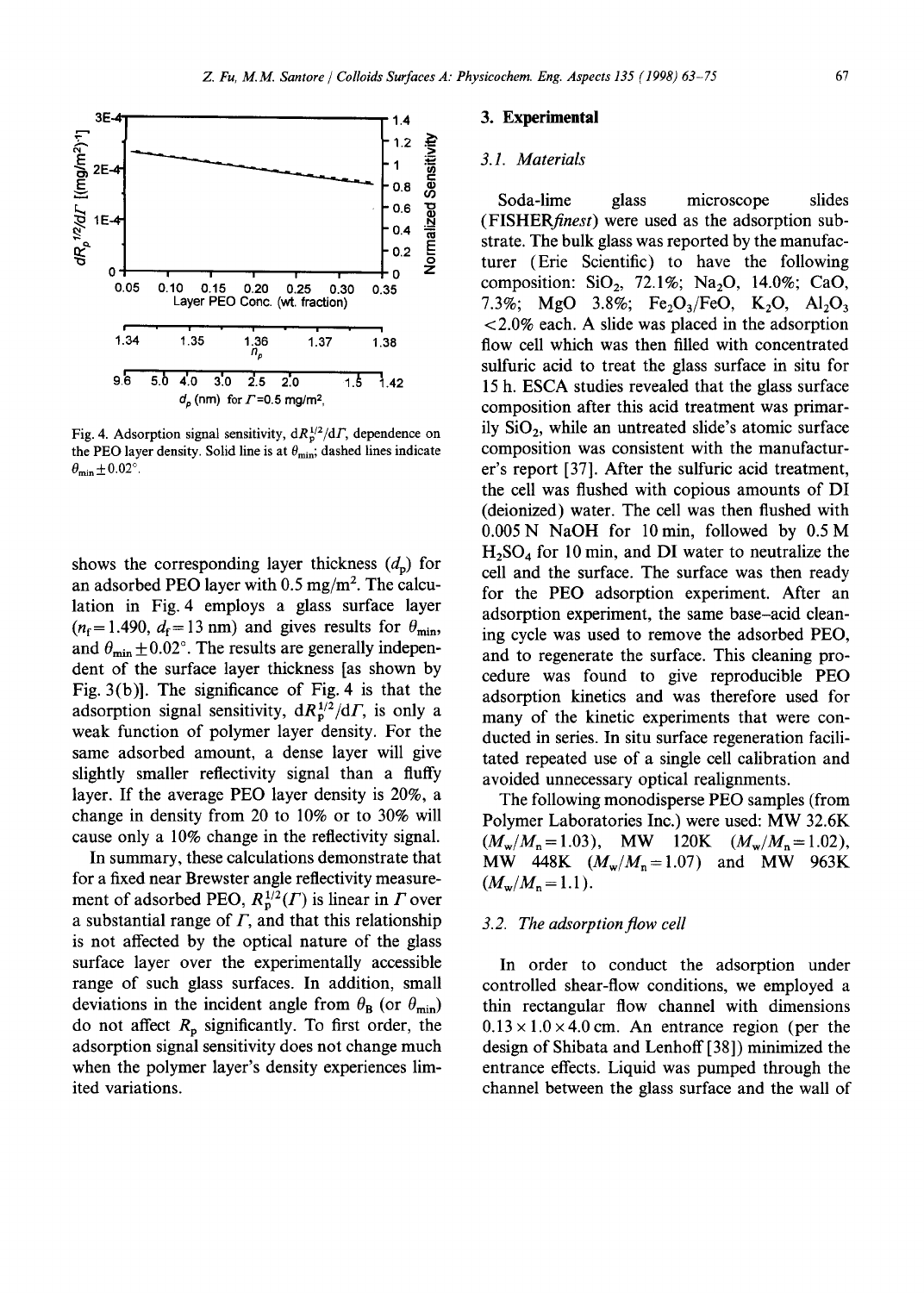

Fig. 4. Adsorption signal sensitivity,  $dR_p^{1/2}/dT$ , dependence on the PEO layer density. Solid line is at  $\theta_{\min}$ ; dashed lines indicate  $\theta_{\min} \pm 0.02$ °.

shows the corresponding layer thickness  $(d_p)$  for an adsorbed PEO layer with  $0.5 \text{ mg/m}^2$ . The calculation in Fig. 4 employs a glass surface layer  $(n_f= 1.490, d_f= 13$  nm) and gives results for  $\theta_{\min}$ , and  $\theta_{\min} \pm 0.02^{\circ}$ . The results are generally independent of the surface layer thickness [as shown by Fig. 3(b)]. The significance of Fig. 4 is that the adsorption signal sensitivity,  $dR_p^{1/2}/dT$ , is only a weak function of polymer layer density. For the same adsorbed amount, a dense layer will give slightly smaller reflectivity signal than a fluffy layer. If the average PEO layer density is 20%, a change in density from 20 to 10% or to 30% will cause only a 10% change in the reflectivity signal.

In summary, these calculations demonstrate that for a fixed near Brewster angle reflectivity measurement of adsorbed PEO,  $R_{\rm p}^{1/2}(T)$  is linear in  $\Gamma$  over a substantial range of  $\Gamma$ , and that this relationship is not affected by the optical nature of the glass surface layer over the experimentally accessible range of such glass surfaces. In addition, small deviations in the incident angle from  $\theta_{\rm B}$  (or  $\theta_{\rm min}$ ) do not affect  $R_p$  significantly. To first order, the adsorption signal sensitivity does not change much when the polymer layer's density experiences limited variations.

#### **3. Experimental**

#### *3.1. Materials*

Soda-lime glass microscope slides *(FISHERfinest)* were used as the adsorption substrate. The bulk glass was reported by the manufacturer (Erie Scientific) to have the following composition:  $SiO<sub>2</sub>$ , 72.1%; Na<sub>2</sub>O, 14.0%; CaO, 7.3%; MgO 3.8%; Fe<sub>2</sub>O<sub>3</sub>/FeO, K<sub>2</sub>O, Al<sub>2</sub>O<sub>3</sub> < 2.0% each. A slide was placed in the adsorption flow cell which was then filled with concentrated sulfuric acid to treat the glass surface in situ for 15 h. ESCA studies revealed that the glass surface composition after this acid treatment was primarily  $SiO<sub>2</sub>$ , while an untreated slide's atomic surface composition was consistent with the manufacturer's report [37]. After the sulfuric acid treatment, the cell was flushed with copious amounts of DI (deionized) water. The cell was then flushed with 0.005 N NaOH for 10min, followed by 0.5 M  $H<sub>2</sub>SO<sub>4</sub>$  for 10 min, and DI water to neutralize the cell and the surface. The surface was then ready for the PEO adsorption experiment. After an adsorption experiment, the same base-acid cleaning cycle was used to remove the adsorbed PEO, and to regenerate the surface. This cleaning procedure was found to give reproducible PEO adsorption kinetics and was therefore used for many of the kinetic experiments that were conducted in series. In situ surface regeneration facilitated repeated use of a single cell calibration and avoided unnecessary optical realignments.

The following monodisperse PEO samples (from Polymer Laboratories Inc.) were used: MW 32.6K  $(M_w/M_n = 1.03)$ , MW 120K  $(M_w/M_n = 1.02)$ , MW 448K  $(M_w/M_n=1.07)$  and MW 963K  $(M_w/M_n = 1.1)$ .

## *3.2. The adsorption flow cell*

In order to conduct the adsorption under controlled shear-flow conditions, we employed a thin rectangular flow channel with dimensions  $0.13 \times 1.0 \times 4.0$  cm. An entrance region (per the design of Shibata and Lenhoff [38]) minimized the entrance effects. Liquid was pumped through the channel between the glass surface and the wall of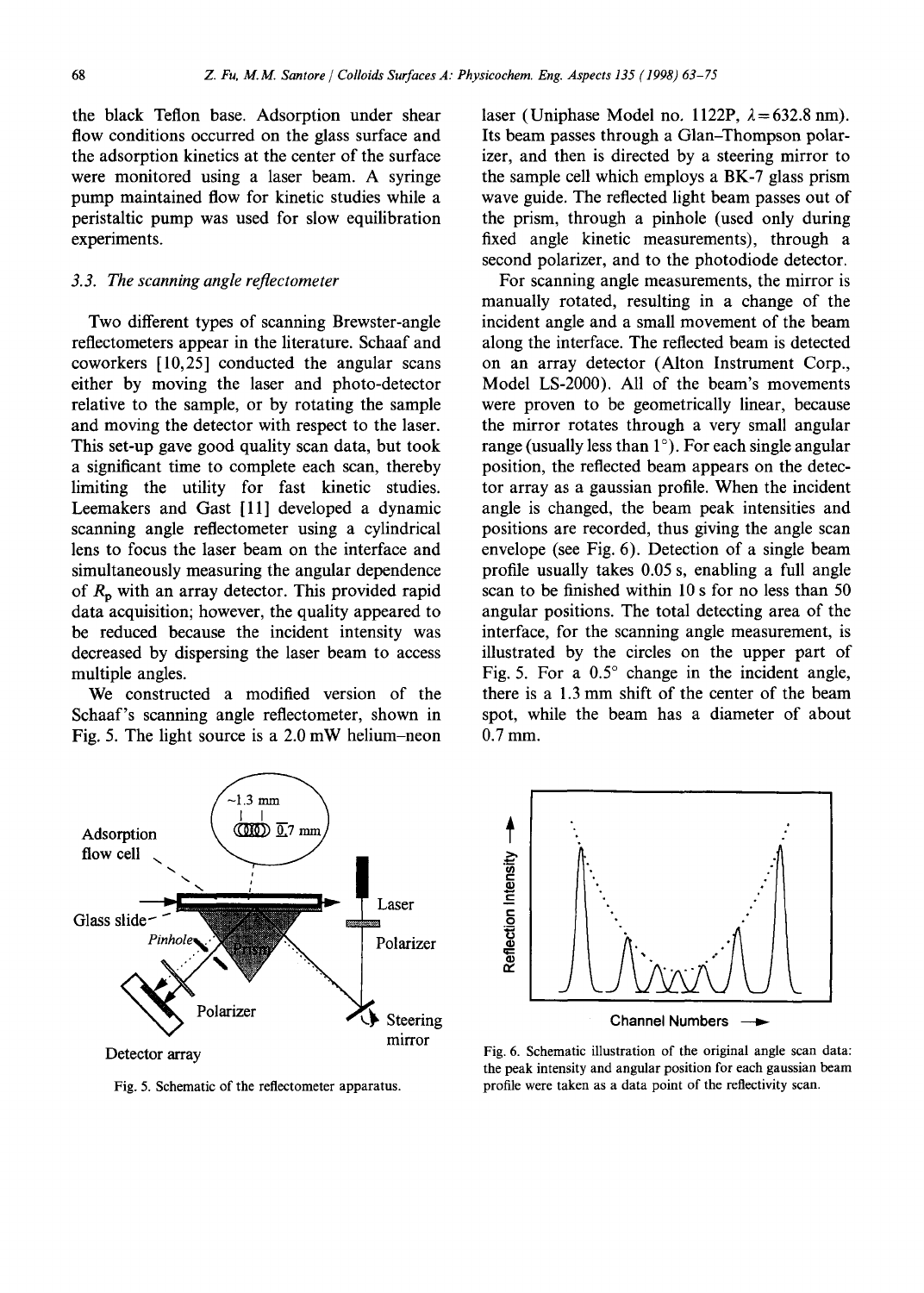the black Teflon base. Adsorption under shear flow conditions occurred on the glass surface and the adsorption kinetics at the center of the surface were monitored using a laser beam. A syringe pump maintained flow for kinetic studies while a peristaltic pump was used for slow equilibration experiments.

### *3.3. The scanning angle reflectometer*

Two different types of scanning Brewster-angle reflectometers appear in the literature. Schaaf and coworkers [10,25] conducted the angular scans either by moving the laser and photo-detector relative to the sample, or by rotating the sample and moving the detector with respect to the laser. This set-up gave good quality scan data, but took a significant time to complete each scan, thereby limiting the utility for fast kinetic studies. Leemakers and Gast [11] developed a dynamic scanning angle reflectometer using a cylindrical lens to focus the laser beam on the interface and simultaneously measuring the angular dependence of  $R_p$  with an array detector. This provided rapid data acquisition; however, the quality appeared to be reduced because the incident intensity was decreased by dispersing the laser beam to access multiple angles.

We constructed a modified version of the Schaaf's scanning angle reflectometer, shown in Fig. 5. The light source is a 2.0 mW helium-neon



For scanning angle measurements, the mirror is manually rotated, resulting in a change of the incident angle and a small movement of the beam along the interface. The reflected beam is detected on an array detector (Alton Instrument Corp., Model LS-2000). All of the beam's movements were proven to be geometrically linear, because the mirror rotates through a very small angular range (usually less than  $1^{\circ}$ ). For each single angular position, the reflected beam appears on the detector array as a gaussian profile. When the incident angle is changed, the beam peak intensities and positions are recorded, thus giving the angle scan envelope (see Fig. 6). Detection of a single beam profile usually takes 0.05 s, enabling a full angle scan to be finished within 10 s for no less than 50 angular positions. The total detecting area of the interface, for the scanning angle measurement, is illustrated by the circles on the upper part of Fig. 5. For a  $0.5^{\circ}$  change in the incident angle, there is a 1.3 mm shift of the center of the beam spot, while the beam has a diameter of about 0.7 mm.



Fig. 5. Schematic of the reflectometer apparatus.



Fig. 6. Schematic illustration of the original angle scan data: the peak intensity and angular position for each gaussian beam profile were taken as a data point of the reflectivity scan.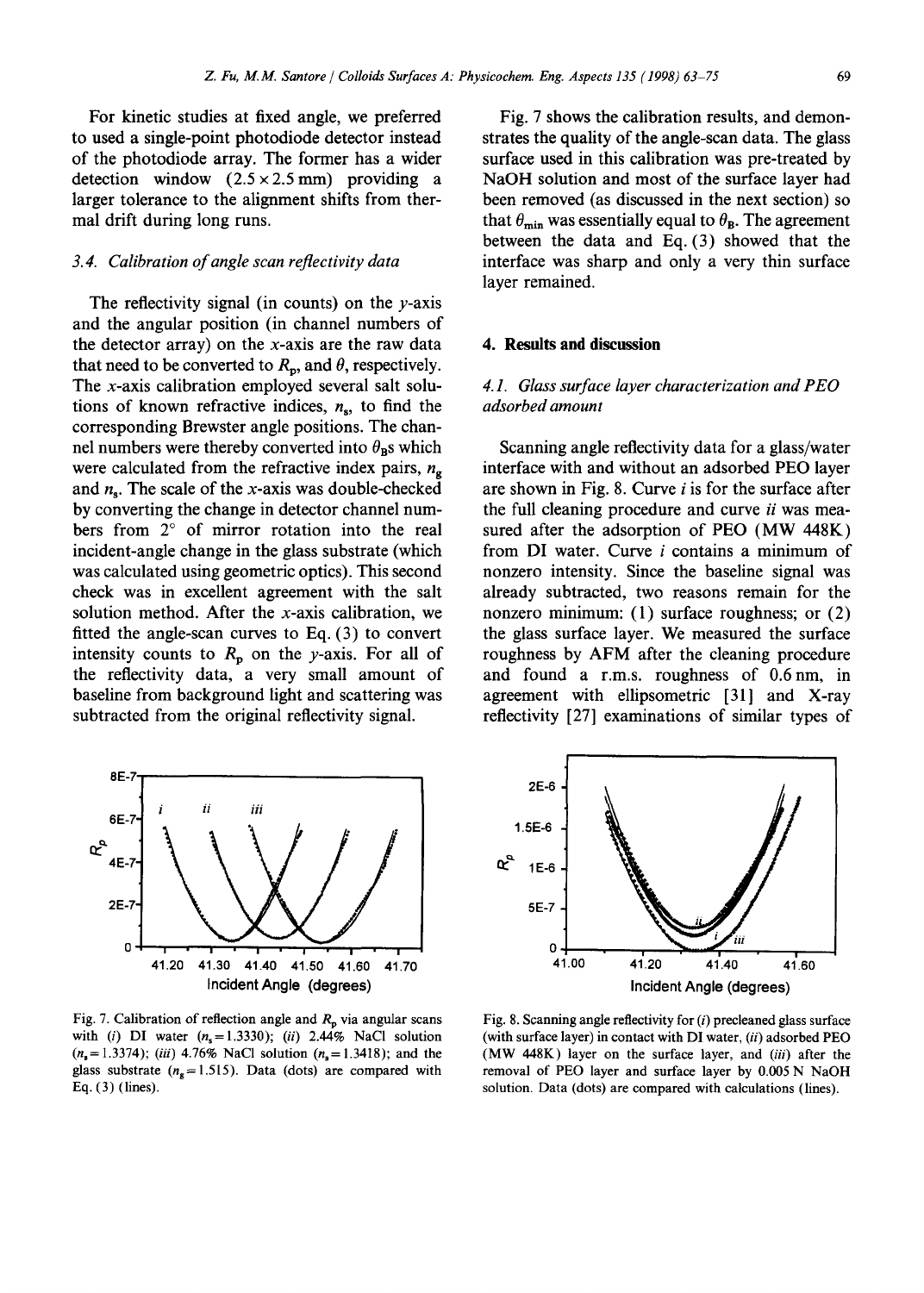For kinetic studies at fixed angle, we preferred to used a single-point photodiode detector instead of the photodiode array. The former has a wider detection window  $(2.5 \times 2.5 \text{ mm})$  providing a larger tolerance to the alignment shifts from thermal drift during long runs.

# *3.4. Calibration of angle scan reflectivity data*

The reflectivity signal (in counts) on the  $\nu$ -axis and the angular position (in channel numbers of the detector array) on the x-axis are the raw data that need to be converted to  $R_p$ , and  $\theta$ , respectively. The x-axis calibration employed several salt solutions of known refractive indices,  $n_s$ , to find the corresponding Brewster angle positions. The channel numbers were thereby converted into  $\theta_{\text{BS}}$  which were calculated from the refractive index pairs,  $n_{g}$ and  $n_s$ . The scale of the x-axis was double-checked by converting the change in detector channel numbers from  $2^{\circ}$  of mirror rotation into the real incident-angle change in the glass substrate (which was calculated using geometric optics). This second check was in excellent agreement with the salt solution method. After the x-axis calibration, we fitted the angle-scan curves to Eq. (3) to convert intensity counts to  $R_p$  on the y-axis. For all of the reflectivity data, a very small amount of baseline from background light and scattering was subtracted from the original reflectivity signal.

8E-7 *i ii iii* 6E-7" ᠍ᡅ 4E-7- 2E-7- 0 I ! ! ! I 41.20 41.30 41.40 41.50 41.60 41.70 Incident Angle (degrees)

Fig. 7. Calibration of reflection angle and  $R_p$  via angular scans with (i) DI water  $(n_s=1.3330)$ ; *(ii)* 2.44% NaCl solution  $(n_s = 1.3374)$ ; *(iii)* 4.76% NaCl solution  $(n_s = 1.3418)$ ; and the glass substrate ( $n_g$ =1.515). Data (dots) are compared with Eq. (3) (lines).

Fig. 7 shows the calibration results, and demonstrates the quality of the angle-scan data. The glass surface used in this calibration was pre-treated by NaOH solution and most of the surface layer had been removed (as discussed in the next section) so that  $\theta_{\min}$  was essentially equal to  $\theta_{\text{B}}$ . The agreement between the data and Eq. (3) showed that the interface was sharp and only a very thin surface layer remained.

## **4. Results and discussion**

# *4.1. Glass surface layer characterization and PEO adsorbed amount*

Scanning angle reflectivity data for a glass/water interface with and without an adsorbed PEO layer are shown in Fig. 8. Curve  $i$  is for the surface after the full cleaning procedure and curve *ii* was measured after the adsorption of PEO (MW 448K) from DI water. Curve i contains a minimum of nonzero intensity. Since the baseline signal was already subtracted, two reasons remain for the nonzero minimum: (1) surface roughness; or (2) the glass surface layer. We measured the surface roughness by AFM after the cleaning procedure and found a r.m.s, roughness of 0.6nm, in agreement with ellipsometric [31] and X-ray reflectivity [27] examinations of similar types of



Fig. 8. Scanning angle reflectivity for  $(i)$  precleaned glass surface (with surface layer) in contact with DI water, *(ii)* adsorbed PEO (MW 448K) layer on the surface layer, and *(iii)* after the removal of PEO layer and surface layer by 0.005 N NaOH solution. Data (dots) are compared with calculations (lines).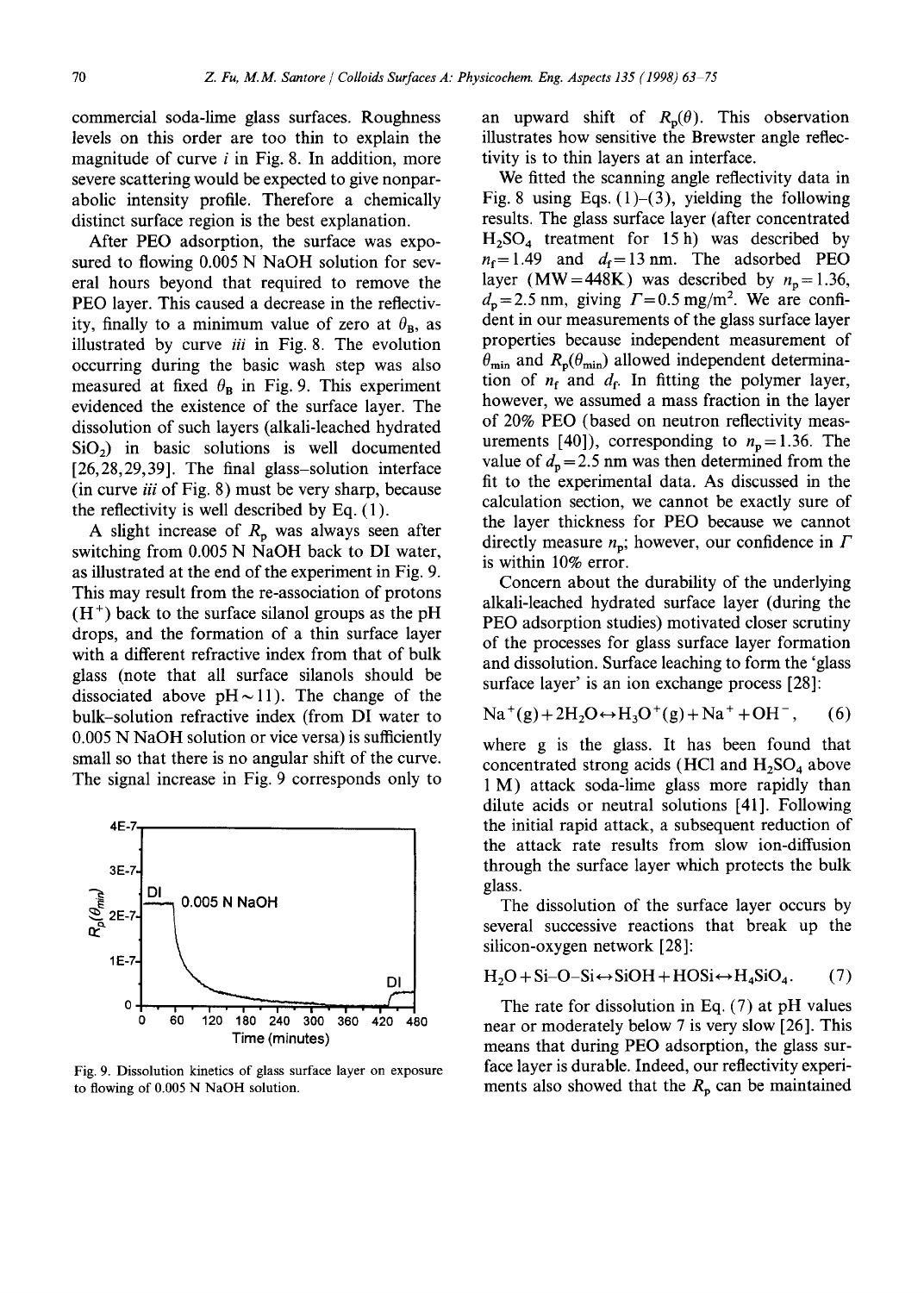commercial soda-lime glass surfaces. Roughness levels on this order are too thin to explain the magnitude of curve  $i$  in Fig. 8. In addition, more severe scattering would be expected to give nonparabolic intensity profile. Therefore a chemically distinct surface region is the best explanation.

After PEO adsorption, the surface was exposured to flowing 0.005 N NaOH solution for several hours beyond that required to remove the PEO layer. This caused a decrease in the reflectivity, finally to a minimum value of zero at  $\theta_B$ , as illustrated by curve *iii* in Fig. 8. The evolution occurring during the basic wash step was also measured at fixed  $\theta_B$  in Fig. 9. This experiment evidenced the existence of the surface layer. The dissolution of such layers (alkali-leached hydrated  $SiO<sub>2</sub>$ ) in basic solutions is well documented [26,28,29,39]. The final glass-solution interface (in curve *iii* of Fig. 8) must be very sharp, because the reflectivity is well described by Eq. (1).

A slight increase of  $R_p$  was always seen after switching from 0.005 N NaOH back to DI water, as illustrated at the end of the experiment in Fig. 9. This may result from the re-association of protons  $(H<sup>+</sup>)$  back to the surface silanol groups as the pH drops, and the formation of a thin surface layer with a different refractive index from that of bulk glass (note that all surface silanols should be dissociated above  $pH \sim 11$ ). The change of the bulk-solution refractive index (from DI water to 0.005 N NaOH solution or vice versa) is sufficiently small so that there is no angular shift of the curve. The signal increase in Fig. 9 corresponds only to



Fig. 9. Dissolution kinetics of glass surface layer on exposure to flowing of 0.005 N NaOH solution.

an upward shift of  $R_p(\theta)$ . This observation illustrates how sensitive the Brewster angle reflectivity is to thin layers at an interface.

We fitted the scanning angle reflectivity data in Fig. 8 using Eqs.  $(1)$ – $(3)$ , yielding the following results. The glass surface layer (after concentrated  $H<sub>2</sub>SO<sub>4</sub>$  treatment for 15 h) was described by  $n_f$ =1.49 and  $d_f$ =13 nm. The adsorbed PEO layer (MW=448K) was described by  $n_p=1.36$ ,  $d_p = 2.5$  nm, giving  $\Gamma = 0.5$  mg/m<sup>2</sup>. We are confident in our measurements of the glass surface layer properties because independent measurement of  $\theta_{\min}$  and  $R_{\rm p}(\theta_{\min})$  allowed independent determination of  $n_f$  and  $d_f$ . In fitting the polymer layer, however, we assumed a mass fraction in the layer of 20% PEO (based on neutron reflectivity measurements [40]), corresponding to  $n_p = 1.36$ . The value of  $d_p = 2.5$  nm was then determined from the fit to the experimental data. As discussed in the calculation section, we cannot be exactly sure of the layer thickness for PEO because we cannot directly measure  $n_p$ ; however, our confidence in  $\Gamma$ is within 10% error.

Concern about the durability of the underlying alkali-leached hydrated surface layer (during the PEO adsorption studies) motivated closer scrutiny of the processes for glass surface layer formation and dissolution. Surface leaching to form the 'glass surface layer' is an ion exchange process [28]:

 $Na^+(g) + 2H_2O \leftrightarrow H_3O^+(g) + Na^+ + OH^-,$  (6)

where g is the glass. It has been found that concentrated strong acids (HCl and  $H_2SO_4$  above 1 M) attack soda-lime glass more rapidly than dilute acids or neutral solutions [41]. Following the initial rapid attack, a subsequent reduction of the attack rate results from slow ion-diffusion through the surface layer which protects the bulk glass.

The dissolution of the surface layer occurs by several successive reactions that break up the silicon-oxygen network [28]:

$$
H_2O + Si-O-Si \leftrightarrow SiOH + HOSi \leftrightarrow H_4SiO_4. \tag{7}
$$

The rate for dissolution in Eq. (7) at pH values near or moderately below 7 is very slow [26]. This means that during PEO adsorption, the glass surface layer is durable. Indeed, our reflectivity experiments also showed that the  $R_p$  can be maintained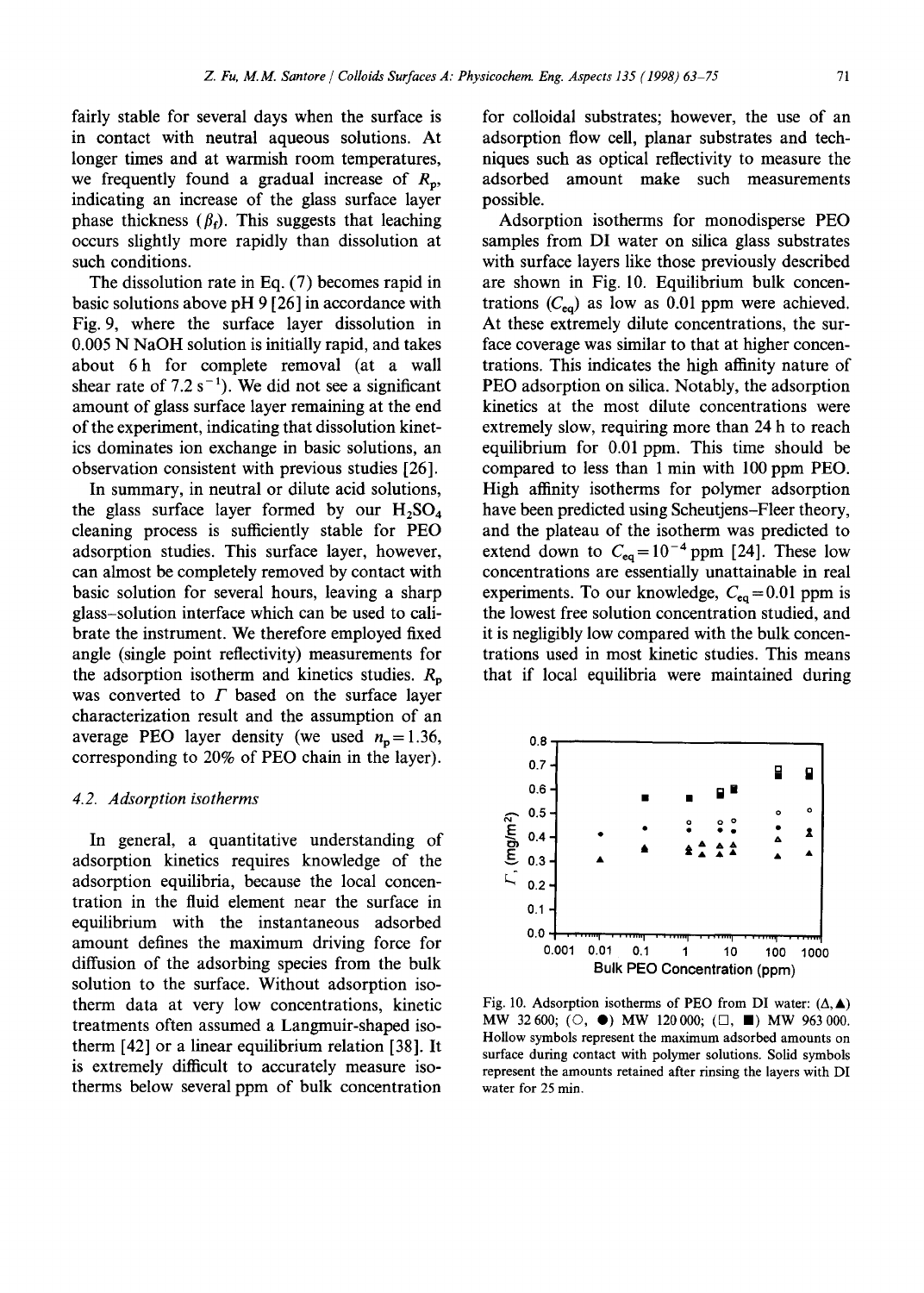fairly stable for several days when the surface is in contact with neutral aqueous solutions. At longer times and at warmish room temperatures, we frequently found a gradual increase of  $R_p$ , indicating an increase of the glass surface layer phase thickness  $(\beta_f)$ . This suggests that leaching occurs slightly more rapidly than dissolution at such conditions.

The dissolution rate in Eq. (7) becomes rapid in basic solutions above pH 9 [26] in accordance with Fig. 9, where the surface layer dissolution in 0.005 N NaOH solution is initially rapid, and takes about 6h for complete removal (at a wall shear rate of  $7.2 s^{-1}$ ). We did not see a significant amount of glass surface layer remaining at the end of the experiment, indicating that dissolution kinetics dominates ion exchange in basic solutions, an observation consistent with previous studies [26].

In summary, in neutral or dilute acid solutions, the glass surface layer formed by our  $H_2SO_4$ cleaning process is sufficiently stable for PEO adsorption studies. This surface layer, however, can almost be completely removed by contact with basic solution for several hours, leaving a sharp glass-solution interface which can be used to calibrate the instrument. We therefore employed fixed angle (single point reflectivity) measurements for the adsorption isotherm and kinetics studies.  $R_p$ was converted to  $\Gamma$  based on the surface layer characterization result and the assumption of an average PEO layer density (we used  $n_p=1.36$ , corresponding to 20% of PEO chain in the layer).

#### *4.2. Adsorption isotherms*

In general, a quantitative understanding of adsorption kinetics requires knowledge of the adsorption equilibria, because the local concentration in the fluid element near the surface in equilibrium with the instantaneous adsorbed amount defines the maximum driving force for diffusion of the adsorbing species from the bulk solution to the surface. Without adsorption isotherm data at very low concentrations, kinetic treatments often assumed a Langmuir-shaped isotherm [42] or a linear equilibrium relation [38]. It is extremely difficult to accurately measure isotherms below several ppm of bulk concentration

for colloidal substrates; however, the use of an adsorption flow cell, planar substrates and techniques such as optical reflectivity to measure the adsorbed amount make such measurements possible.

Adsorption isotherms for monodisperse PEO samples from DI water on silica glass substrates with surface layers like those previously described are shown in Fig. 10. Equilibrium bulk concentrations  $(C_{eq})$  as low as 0.01 ppm were achieved. At these extremely dilute concentrations, the surface coverage was similar to that at higher concentrations. This indicates the high affinity nature of PEO adsorption on silica. Notably, the adsorption kinetics at the most dilute concentrations were extremely slow, requiring more than 24 h to reach equilibrium for 0.01 ppm. This time should be compared to less than 1 min with 100 ppm PEO. High affinity isotherms for polymer adsorption have been predicted using Scheutjens-Fleer theory, and the plateau of the isotherm was predicted to extend down to  $C_{eq} = 10^{-4}$  ppm [24]. These low concentrations are essentially unattainable in real experiments. To our knowledge,  $C_{eq} = 0.01$  ppm is the lowest free solution concentration studied, and it is negligibly low compared with the bulk concentrations used in most kinetic studies. This means that if local equilibria were maintained during



Fig. 10. Adsorption isotherms of PEO from DI water:  $(\Delta, \blacktriangle)$ MW 32600; ( $\circlearrowright$ ,  $\bullet$ ) MW 120000; ( $\Box$ ,  $\blacksquare$ ) MW 963000. Hollow symbols represent the maximum adsorbed amounts on surface during contact with polymer solutions. Solid symbols represent the amounts retained after rinsing the layers with DI water for 25 min.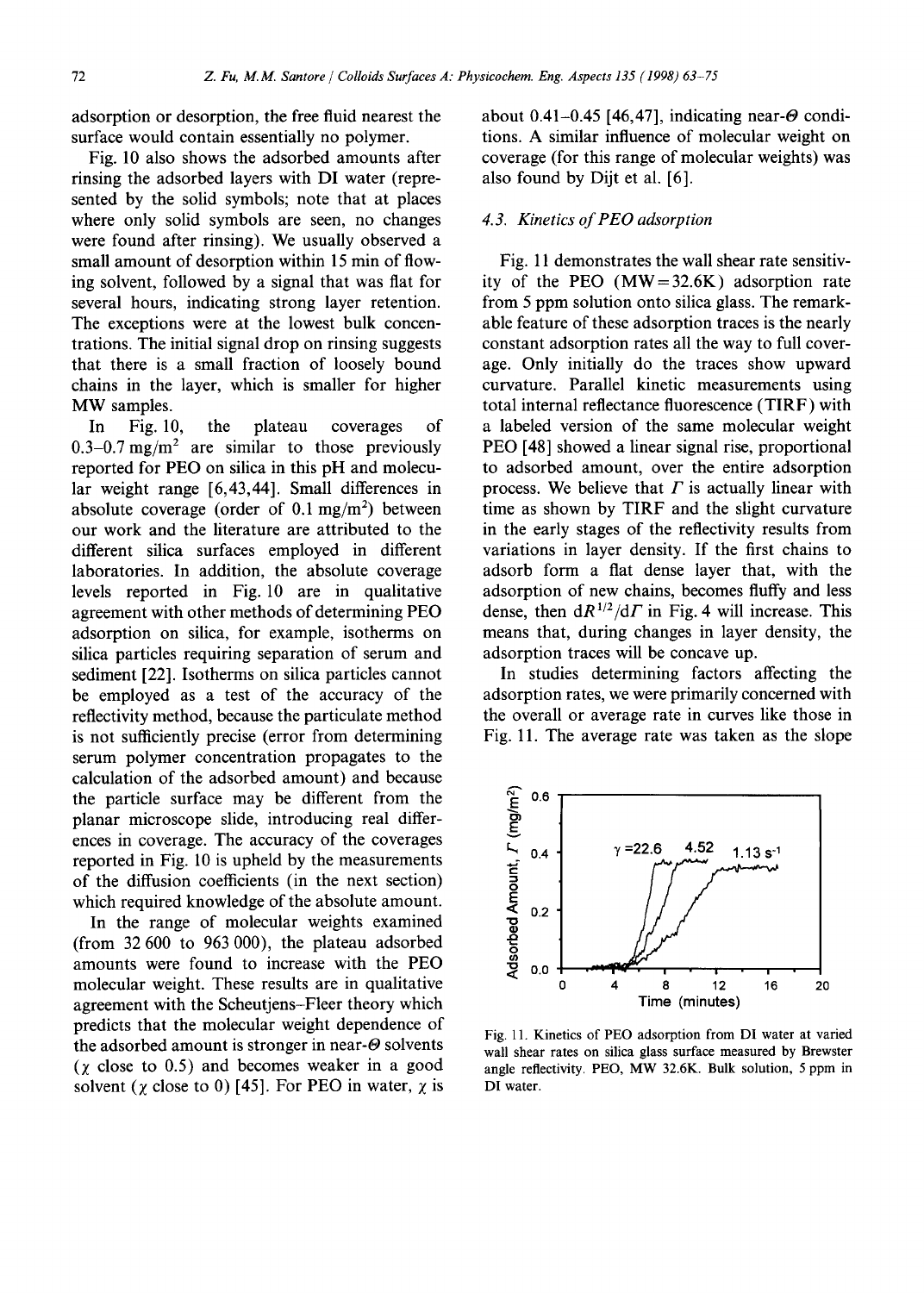adsorption or desorption, the free fluid nearest the surface would contain essentially no polymer.

Fig. 10 also shows the adsorbed amounts after rinsing the adsorbed layers with DI water (represented by the solid symbols; note that at places where only solid symbols are seen, no changes were found after rinsing). We usually observed a small amount of desorption within 15 min of flowing solvent, followed by a signal that was fiat for several hours, indicating strong layer retention. The exceptions were at the lowest bulk concentrations. The initial signal drop on rinsing suggests that there is a small fraction of loosely bound chains in the layer, which is smaller for higher MW samples.

In Fig. 10, the plateau coverages of 0.3-0.7 mg/m<sup>2</sup> are similar to those previously reported for PEO on silica in this pH and molecular weight range [6,43,44]. Small differences in absolute coverage (order of  $0.1 \text{ mg/m}^2$ ) between our work and the literature are attributed to the different silica surfaces employed in different laboratories. In addition, the absolute coverage levels reported in Fig. 10 are in qualitative agreement with other methods of determining PEO adsorption on silica, for example, isotherms on silica particles requiring separation of serum and sediment [22]. Isotherms on silica particles cannot be employed as a test of the accuracy of the reflectivity method, because the particulate method is not sufficiently precise (error from determining serum polymer concentration propagates to the calculation of the adsorbed amount) and because the particle surface may be different from the planar microscope slide, introducing real differences in coverage. The accuracy of the coverages reported in Fig. 10 is upheld by the measurements of the diffusion coefficients (in the next section) which required knowledge of the absolute amount.

In the range of molecular weights examined (from 32 600 to 963 000), the plateau adsorbed amounts were found to increase with the PEO molecular weight. These results are in qualitative agreement with the Scheutjens-Fleer theory which predicts that the molecular weight dependence of the adsorbed amount is stronger in near- $\Theta$  solvents  $(\chi \text{ close to } 0.5)$  and becomes weaker in a good solvent ( $\chi$  close to 0) [45]. For PEO in water,  $\chi$  is about 0.41-0.45 [46,47], indicating near- $\Theta$  conditions. A similar influence of molecular weight on coverage (for this range of molecular weights) was also found by Dijt et al. [6].

#### *4.3. Kinetics of PEO adsorption*

Fig. 11 demonstrates the wall shear rate sensitivity of the PEO  $(MW=32.6K)$  adsorption rate from 5 ppm solution onto silica glass. The remarkable feature of these adsorption traces is the nearly constant adsorption rates all the way to full coverage. Only initially do the traces show upward curvature. Parallel kinetic measurements using total internal reflectance fluorescence (TIRF) with a labeled version of the same molecular weight PEO [48] showed a linear signal rise, proportional to adsorbed amount, over the entire adsorption process. We believe that  $\Gamma$  is actually linear with time as shown by TIRF and the slight curvature in the early stages of the reflectivity results from variations in layer density. If the first chains to adsorb form a fiat dense layer that, with the adsorption of new chains, becomes fluffy and less dense, then  $dR^{1/2}/d\Gamma$  in Fig. 4 will increase. This means that, during changes in layer density, the adsorption traces will be concave up.

In studies determining factors affecting the adsorption rates, we were primarily concerned with the overall or average rate in curves like those in Fig. 11. The average rate was taken as the slope



Fig. 11. Kinetics of PEO adsorption from DI water at varied wall shear rates on silica glass surface measured by Brewster angle reflectivity. PEO, MW 32.6K. Bulk solution, 5 ppm in DI water.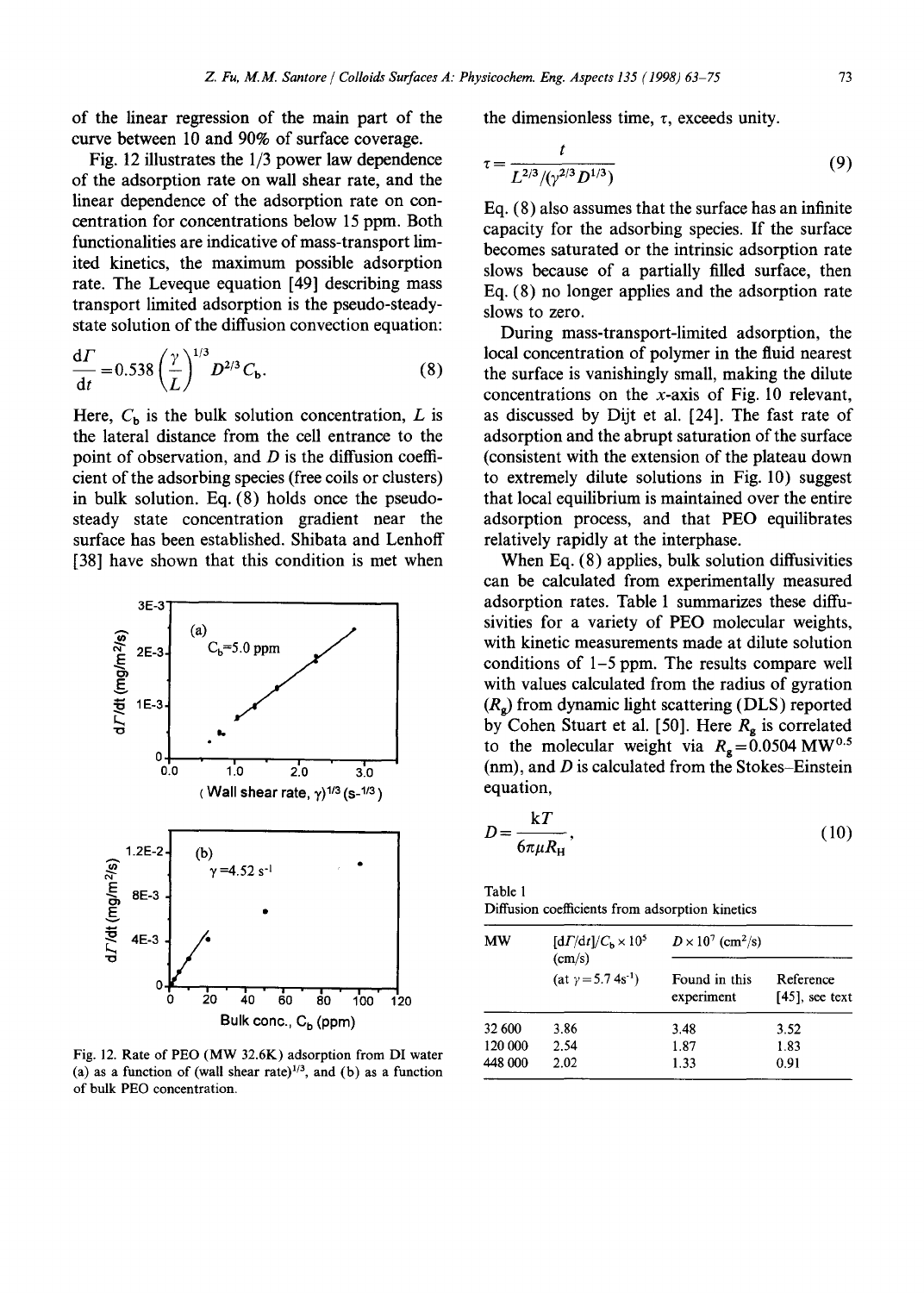of the linear regression of the main part of the curve between 10 and 90% of surface coverage.

Fig. 12 illustrates the 1/3 power law dependence of the adsorption rate on wall shear rate, and the linear dependence of the adsorption rate on concentration for concentrations below 15 ppm. Both functionalities are indicative of mass-transport limited kinetics, the maximum possible adsorption rate. The Leveque equation [49] describing mass transport limited adsorption is the pseudo-steadystate solution of the diffusion convection equation:

$$
\frac{d\Gamma}{dt} = 0.538 \left(\frac{\gamma}{L}\right)^{1/3} D^{2/3} C_{b}.
$$
 (8)

Here,  $C_b$  is the bulk solution concentration, L is the lateral distance from the cell entrance to the point of observation, and  $D$  is the diffusion coefficient of the adsorbing species (free coils or clusters) in bulk solution. Eq. (8) holds once the pseudosteady state concentration gradient near the surface has been established. Shibata and Lenhoff [38] have shown that this condition is met when



Fig. 12. Rate of PEO (MW 32.6K) adsorption from DI water (a) as a function of (wall shear rate) $1/3$ , and (b) as a function of bulk PEO concentration.

the dimensionless time,  $\tau$ , exceeds unity.

$$
\tau = \frac{t}{L^{2/3}/(\gamma^{2/3}D^{1/3})} \tag{9}
$$

Eq. (8) also assumes that the surface has an infinite capacity for the adsorbing species. If the surface becomes saturated or the intrinsic adsorption rate slows because of a partially filled surface, then Eq. (8) no longer applies and the adsorption rate slows to zero.

During mass-transport-limited adsorption, the local concentration of polymer in the fluid nearest the surface is vanishingly small, making the dilute concentrations on the  $x$ -axis of Fig. 10 relevant, as discussed by Dijt et al. [24]. The fast rate of adsorption and the abrupt saturation of the surface (consistent with the extension of the plateau down to extremely dilute solutions in Fig. 10) suggest that local equilibrium is maintained over the entire adsorption process, and that PEO equilibrates relatively rapidly at the interphase.

When Eq. (8) applies, bulk solution diffusivities can be calculated from experimentally measured adsorption rates. Table 1 summarizes these diffusivities for a variety of PEO molecular weights, with kinetic measurements made at dilute solution conditions of 1-5 ppm. The results compare well with values calculated from the radius of gyration  $(R_{\alpha})$  from dynamic light scattering (DLS) reported by Cohen Stuart et al. [50]. Here  $R<sub>g</sub>$  is correlated to the molecular weight via  $R_g = 0.0504 \text{ MW}^{0.5}$  $(nm)$ , and D is calculated from the Stokes-Einstein equation,

$$
D = \frac{kT}{6\pi\mu R_{\rm H}},\tag{10}
$$

Table 1

Diffusion coefficients from adsorption kinetics

| МW      | $\left[\frac{d\Gamma}{dt}\right]/C_{h} \times 10^{5}$<br>(cm/s)<br>(at $y = 5.74s^{-1}$ ) | $D \times 10^7$ (cm <sup>2</sup> /s) |                                |
|---------|-------------------------------------------------------------------------------------------|--------------------------------------|--------------------------------|
|         |                                                                                           | Found in this<br>experiment          | Reference<br>$[45]$ , see text |
| 32 600  | 3.86                                                                                      | 3.48                                 | 3.52                           |
| 120 000 | 2.54                                                                                      | 1.87                                 | 1.83                           |
| 448 000 | 2.02                                                                                      | 1.33                                 | 0.91                           |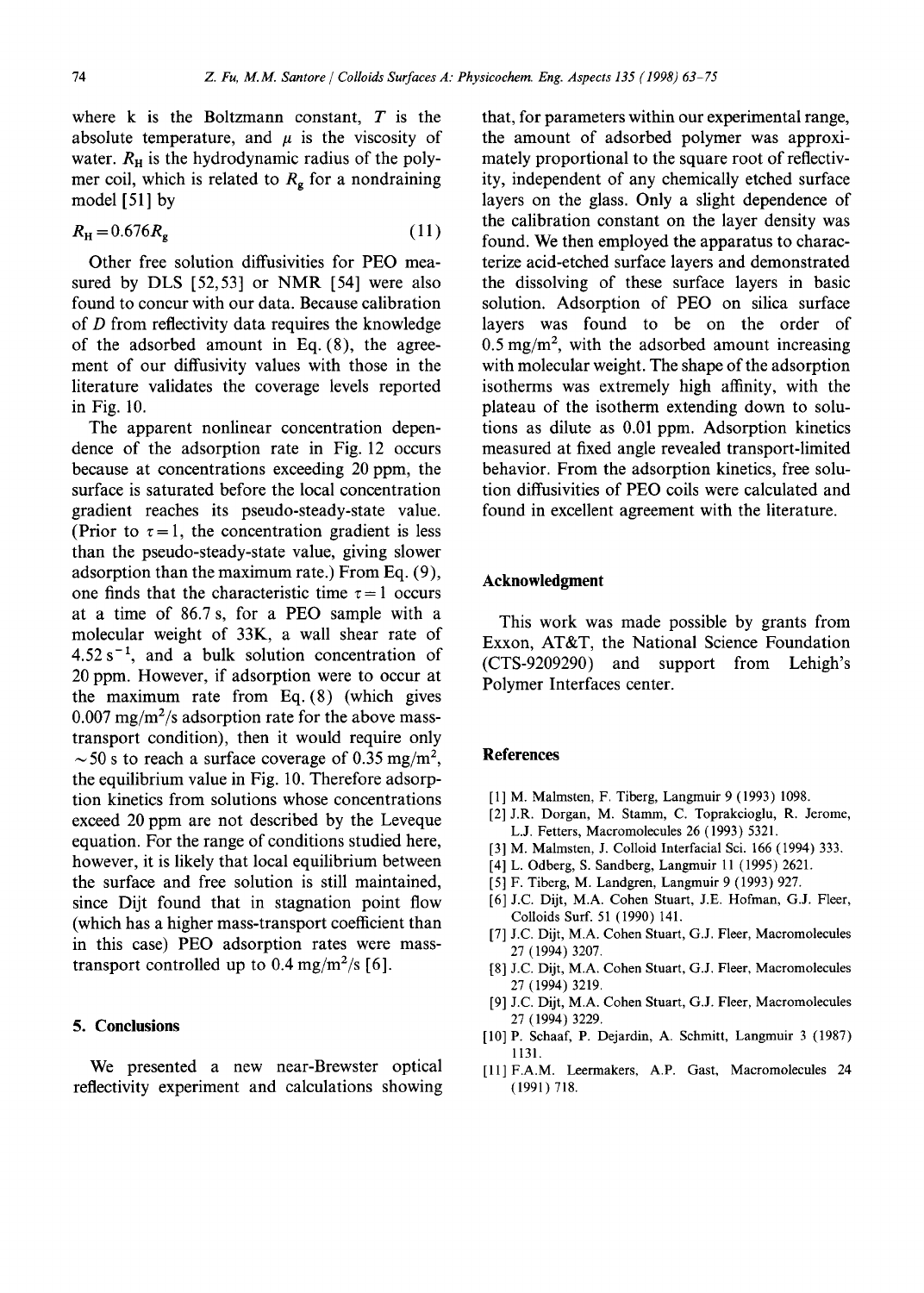where  $k$  is the Boltzmann constant,  $T$  is the absolute temperature, and  $\mu$  is the viscosity of water.  $R<sub>H</sub>$  is the hydrodynamic radius of the polymer coil, which is related to  $R<sub>g</sub>$  for a nondraining model [51] by

$$
R_{\rm H} = 0.676 R_{\rm g} \tag{11}
$$

Other free solution diffusivities for PEO measured by DLS [52,53] or NMR [54] were also found to concur with our data. Because calibration of D from reflectivity data requires the knowledge of the adsorbed amount in Eq. (8), the agreement of our diffusivity values with those in the literature validates the coverage levels reported in Fig. 10.

The apparent nonlinear concentration dependence of the adsorption rate in Fig. 12 occurs because at concentrations exceeding 20 ppm, the surface is saturated before the local concentration gradient reaches its pseudo-steady-state value. (Prior to  $\tau = 1$ , the concentration gradient is less than the pseudo-steady-state value, giving slower adsorption than the maximum rate.) From Eq. (9), one finds that the characteristic time  $\tau = 1$  occurs at a time of 86.7 s, for a PEO sample with a molecular weight of 33K, a wall shear rate of  $4.52 s^{-1}$ , and a bulk solution concentration of 20 ppm. However, if adsorption were to occur at the maximum rate from Eq. (8) (which gives  $0.007 \text{ mg/m}^2$ /s adsorption rate for the above masstransport condition), then it would require only  $\sim$  50 s to reach a surface coverage of 0.35 mg/m<sup>2</sup>, the equilibrium value in Fig. 10. Therefore adsorption kinetics from solutions whose concentrations exceed 20 ppm are not described by the Leveque equation. For the range of conditions studied here, however, it is likely that local equilibrium between the surface and free solution is still maintained, since Dijt found that in stagnation point flow (which has a higher mass-transport coefficient than in this case) PEO adsorption rates were masstransport controlled up to 0.4 mg/m<sup>2</sup>/s [6].

## **5. Conclusions**

We presented a new near-Brewster optical reflectivity experiment and calculations showing that, for parameters within our experimental range, the amount of adsorbed polymer was approximately proportional to the square root of reflectivity, independent of any chemically etched surface layers on the glass. Only a slight dependence of the calibration constant on the layer density was found. We then employed the apparatus to characterize acid-etched surface layers and demonstrated the dissolving of these surface layers in basic solution. Adsorption of PEO on silica surface layers was found to be on the order of  $0.5 \text{ mg/m}^2$ , with the adsorbed amount increasing with molecular weight. The shape of the adsorption isotherms was extremely high affinity, with the plateau of the isotherm extending down to solutions as dilute as 0.01 ppm. Adsorption kinetics measured at fixed angle revealed transport-limited behavior. From the adsorption kinetics, free solution diffusivities of PEO coils were calculated and found in excellent agreement with the literature.

## **Acknowledgment**

This work was made possible by grants from Exxon, AT&T, the National Science Foundation (CTS-9209290) and support from Lehigh's Polymer Interfaces center.

## **References**

- [1] M. Malmsten, F. Tiberg, Langmuir 9 (1993) 1098.
- [2] J.R. Dorgan, M. Stamm, C. Toprakcioglu, R. Jerome, L.J. Fetters, Macromolecules 26 (1993) 5321.
- [3] M. Malmsten, J. Colloid Interfacial Sci. 166 (1994) 333.
- [4] L. Odberg, S. Sandberg, Langmuir 11 (1995) 2621.
- [5] F. Tiberg, M. Landgren, Langmuir 9 (1993) 927.
- [6] J.C. Dijt, M.A. Cohen Stuart, J.E. Hofman, G.J. Fleer, Colloids Surf. 51 (1990) 141.
- [7] J.C. Dijt, M.A. Cohen Stuart, G.J. Fleer, Macromolecules 27 (1994) 3207.
- [8] J.C. Dijt, M.A. Cohen Stuart, G.J. Fleer, Macromolecules 27 (1994) 3219.
- [9] J.C. Dijt, M.A. Cohen Stuart, G.J. Fleer, Macromolecules 27 (1994) 3229.
- [10] P. Schaaf, P. Dejardin, A. Schmitt, Langmuir 3 (1987) 1131.
- [ll]F.A.M. Leermakers, A.P. Gast, Macromolecules 24 (1991) 718.